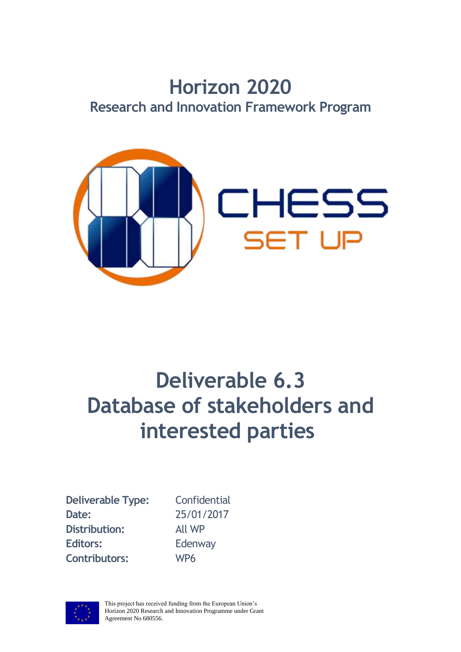# **Horizon 2020 Research and Innovation Framework Program**



# **Deliverable 6.3 Database of stakeholders and interested parties**

**Deliverable Type:** Confidential **Date:** 25/01/2017 **Distribution:** All WP Editors: Edenway **Contributors:** WP6



This project has received funding from the European Union's Horizon 2020 Research and Innovation Programme under Grant Agreement No 680556.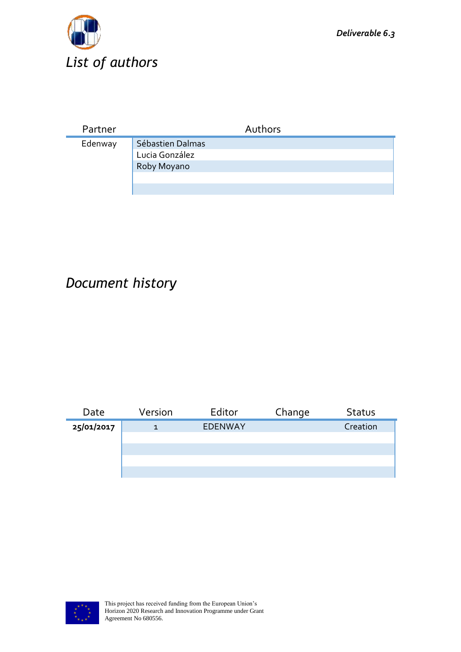

| Partner | Authors                                           |
|---------|---------------------------------------------------|
| Edenway | Sébastien Dalmas<br>Lucia González<br>Roby Moyano |

# *Document history*

| Date       | Version | Editor         | Change | <b>Status</b> |
|------------|---------|----------------|--------|---------------|
| 25/01/2017 |         | <b>EDENWAY</b> |        | Creation      |
|            |         |                |        |               |
|            |         |                |        |               |
|            |         |                |        |               |
|            |         |                |        |               |

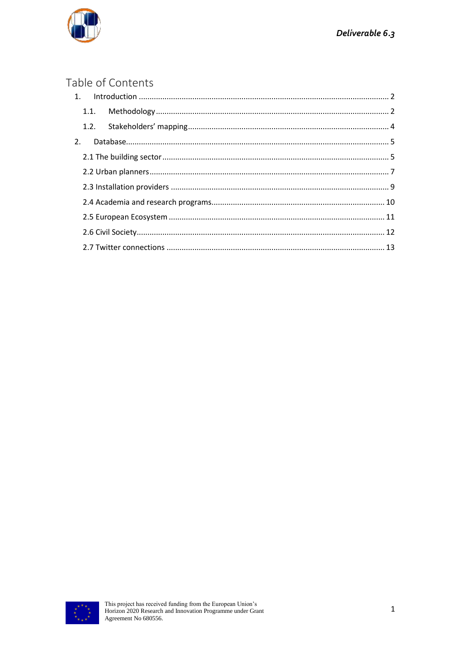

#### Table of Contents

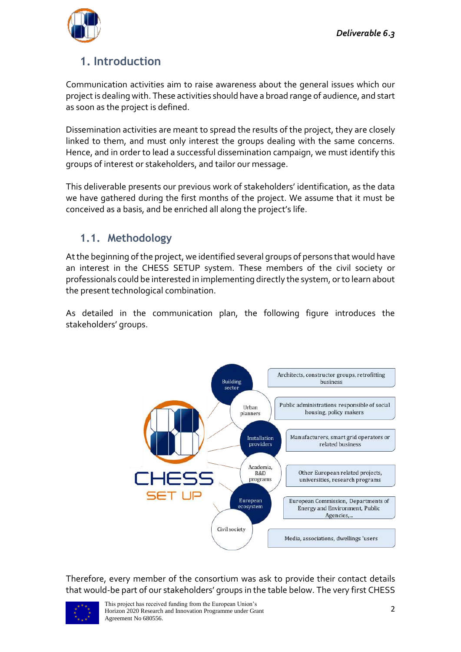

## <span id="page-3-0"></span>**1. Introduction**

Communication activities aim to raise awareness about the general issues which our project is dealing with. These activities should have a broad range of audience, and start as soon as the project is defined.

Dissemination activities are meant to spread the results of the project, they are closely linked to them, and must only interest the groups dealing with the same concerns. Hence, and in order to lead a successful dissemination campaign, we must identify this groups of interest or stakeholders, and tailor our message.

This deliverable presents our previous work of stakeholders' identification, as the data we have gathered during the first months of the project. We assume that it must be conceived as a basis, and be enriched all along the project's life.

#### <span id="page-3-1"></span>**1.1. Methodology**

At the beginning of the project, we identified several groups of persons that would have an interest in the CHESS SETUP system. These members of the civil society or professionals could be interested in implementing directly the system, or to learn about the present technological combination.

As detailed in the communication plan, the following figure introduces the stakeholders' groups.



Therefore, every member of the consortium was ask to provide their contact details that would-be part of our stakeholders' groups in the table below. The very first CHESS

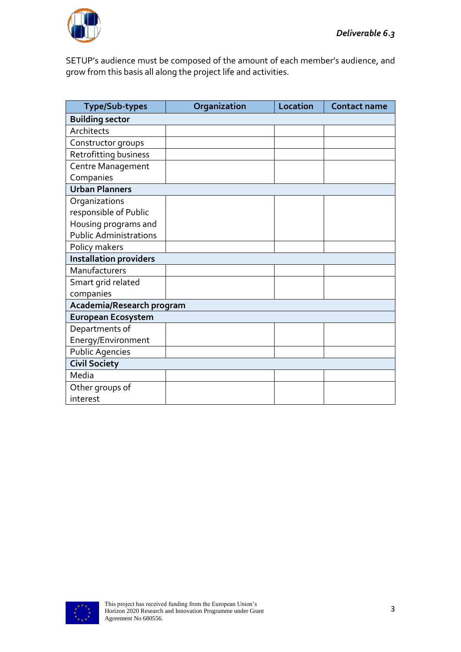

SETUP's audience must be composed of the amount of each member's audience, and grow from this basis all along the project life and activities.

| <b>Type/Sub-types</b>         | Organization | Location | <b>Contact name</b> |  |  |
|-------------------------------|--------------|----------|---------------------|--|--|
| <b>Building sector</b>        |              |          |                     |  |  |
| Architects                    |              |          |                     |  |  |
| Constructor groups            |              |          |                     |  |  |
| Retrofitting business         |              |          |                     |  |  |
| Centre Management             |              |          |                     |  |  |
| Companies                     |              |          |                     |  |  |
| <b>Urban Planners</b>         |              |          |                     |  |  |
| Organizations                 |              |          |                     |  |  |
| responsible of Public         |              |          |                     |  |  |
| Housing programs and          |              |          |                     |  |  |
| <b>Public Administrations</b> |              |          |                     |  |  |
| Policy makers                 |              |          |                     |  |  |
| <b>Installation providers</b> |              |          |                     |  |  |
| Manufacturers                 |              |          |                     |  |  |
| Smart grid related            |              |          |                     |  |  |
| companies                     |              |          |                     |  |  |
| Academia/Research program     |              |          |                     |  |  |
| <b>European Ecosystem</b>     |              |          |                     |  |  |
| Departments of                |              |          |                     |  |  |
| Energy/Environment            |              |          |                     |  |  |
| <b>Public Agencies</b>        |              |          |                     |  |  |
| <b>Civil Society</b>          |              |          |                     |  |  |
| Media                         |              |          |                     |  |  |
| Other groups of               |              |          |                     |  |  |
| interest                      |              |          |                     |  |  |

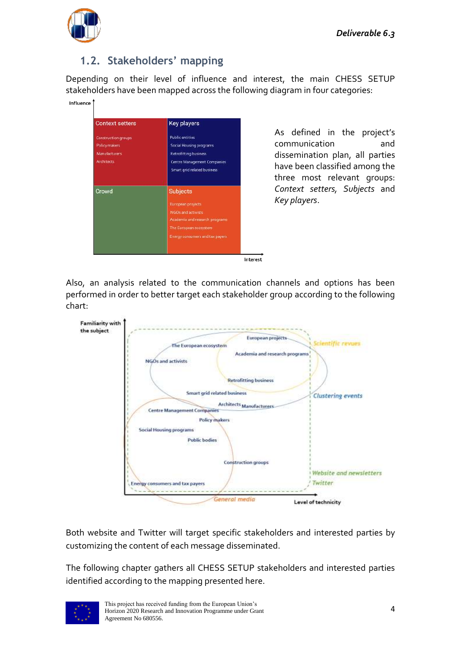

### <span id="page-5-0"></span>**1.2. Stakeholders' mapping**

Depending on their level of influence and interest, the main CHESS SETUP stakeholders have been mapped across the following diagram in four categories:

| <b>Context setters</b>     | <b>Key players</b>                 |
|----------------------------|------------------------------------|
| <b>Construction groups</b> | <b>Public entities</b>             |
| Policy makers              | Social Housing programs            |
| <b>Manufacturers</b>       | Retrofitting business              |
| <b>Architects</b>          | <b>Centre Management Companies</b> |
|                            | Smart grid related business        |
| Crowd                      | <b>Subjects</b>                    |
|                            | European projects                  |
|                            | NGOs and activists                 |
|                            | Academia and research programs     |
|                            | The European ecosystem             |
|                            | Energy consumers and tax payers.   |

As defined in the project's communication and dissemination plan, all parties have been classified among the three most relevant groups: *Context setters, Subjects* and *Key players*.

Interest

Also, an analysis related to the communication channels and options has been performed in order to better target each stakeholder group according to the following chart:



Both website and Twitter will target specific stakeholders and interested parties by customizing the content of each message disseminated.

The following chapter gathers all CHESS SETUP stakeholders and interested parties identified according to the mapping presented here.

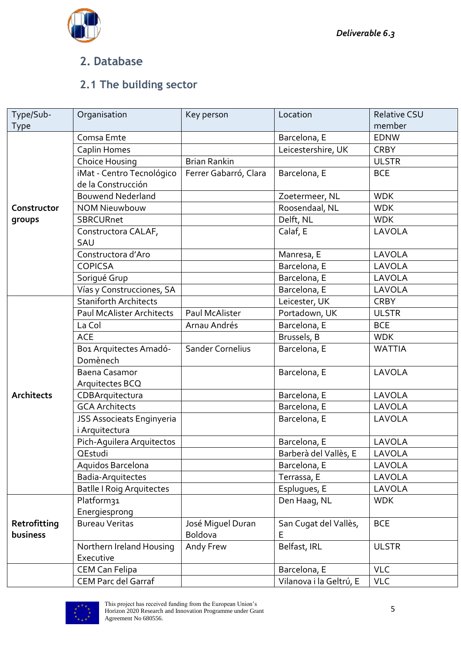

#### <span id="page-6-0"></span>**2. Database**

### <span id="page-6-1"></span>**2.1 The building sector**

| Type/Sub-         | Organisation                     | Key person              | Location                | Relative CSU  |
|-------------------|----------------------------------|-------------------------|-------------------------|---------------|
| Type              |                                  |                         |                         | member        |
|                   | Comsa Emte                       |                         | Barcelona, E            | <b>EDNW</b>   |
|                   | Caplin Homes                     |                         | Leicestershire, UK      | <b>CRBY</b>   |
|                   | Choice Housing                   | <b>Brian Rankin</b>     |                         | <b>ULSTR</b>  |
|                   | iMat - Centro Tecnológico        | Ferrer Gabarró, Clara   | Barcelona, E            | <b>BCE</b>    |
|                   | de la Construcción               |                         |                         |               |
|                   | <b>Bouwend Nederland</b>         |                         | Zoetermeer, NL          | <b>WDK</b>    |
| Constructor       | <b>NOM Nieuwbouw</b>             |                         | Roosendaal, NL          | <b>WDK</b>    |
| groups            | SBRCURnet                        |                         | Delft, NL               | <b>WDK</b>    |
|                   | Constructora CALAF,              |                         | Calaf, E                | LAVOLA        |
|                   | SAU                              |                         |                         |               |
|                   | Constructora d'Aro               |                         | Manresa, E              | LAVOLA        |
|                   | <b>COPICSA</b>                   |                         | Barcelona, E            | LAVOLA        |
|                   | Sorigué Grup                     |                         | Barcelona, E            | LAVOLA        |
|                   | Vías y Construcciones, SA        |                         | Barcelona, E            | LAVOLA        |
|                   | <b>Staniforth Architects</b>     |                         | Leicester, UK           | <b>CRBY</b>   |
|                   | <b>Paul McAlister Architects</b> | Paul McAlister          | Portadown, UK           | <b>ULSTR</b>  |
|                   | La Col                           | Arnau Andrés            | Barcelona, E            | <b>BCE</b>    |
|                   | <b>ACE</b>                       |                         | Brussels, B             | <b>WDK</b>    |
|                   | Bo1 Arquitectes Amadó-           | <b>Sander Cornelius</b> | Barcelona, E            | <b>WATTIA</b> |
|                   | Domènech                         |                         |                         |               |
|                   | Baena Casamor                    |                         | Barcelona, E            | LAVOLA        |
|                   | Arquitectes BCQ                  |                         |                         |               |
| <b>Architects</b> | CDBArquitectura                  |                         | Barcelona, E            | LAVOLA        |
|                   | <b>GCA Architects</b>            |                         | Barcelona, E            | LAVOLA        |
|                   | JSS Associeats Enginyeria        |                         | Barcelona, E            | LAVOLA        |
|                   | <i>i</i> Arquitectura            |                         |                         |               |
|                   | Pich-Aguilera Arquitectos        |                         | Barcelona, E            | <b>LAVOLA</b> |
|                   | QEstudi                          |                         | Barberà del Vallès, E   | LAVOLA        |
|                   | Aquidos Barcelona                |                         | Barcelona, E            | LAVOLA        |
|                   | Badia-Arquitectes                |                         | Terrassa, E             | LAVOLA        |
|                   | <b>Batlle I Roig Arquitectes</b> |                         | Esplugues, E            | LAVOLA        |
|                   | Platform31                       |                         | Den Haag, NL            | <b>WDK</b>    |
|                   | Energiesprong                    |                         |                         |               |
| Retrofitting      | <b>Bureau Veritas</b>            | José Miquel Duran       | San Cugat del Vallès,   | <b>BCE</b>    |
| business          |                                  | Boldova                 | E                       |               |
|                   | Northern Ireland Housing         | Andy Frew               | Belfast, IRL            | <b>ULSTR</b>  |
|                   | Executive                        |                         |                         |               |
|                   | <b>CEM Can Felipa</b>            |                         | Barcelona, E            | <b>VLC</b>    |
|                   | <b>CEM Parc del Garraf</b>       |                         | Vilanova i la Geltrú, E | <b>VLC</b>    |

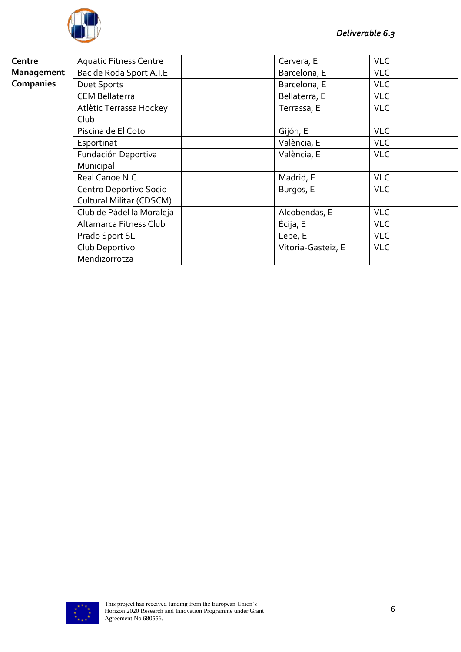

| Centre     | <b>Aquatic Fitness Centre</b>   | Cervera, E         | <b>VLC</b> |
|------------|---------------------------------|--------------------|------------|
| Management | Bac de Roda Sport A.I.E         | Barcelona, E       | <b>VLC</b> |
| Companies  | Duet Sports                     | Barcelona, E       | <b>VLC</b> |
|            | <b>CEM Bellaterra</b>           | Bellaterra, E      | <b>VLC</b> |
|            | Atlètic Terrassa Hockey<br>Club | Terrassa, E        | <b>VLC</b> |
|            | Piscina de El Coto              | Gijón, E           | <b>VLC</b> |
|            | Esportinat                      | València, E        | <b>VLC</b> |
|            | Fundación Deportiva             | València, E        | <b>VLC</b> |
|            | Municipal                       |                    |            |
|            | Real Canoe N.C.                 | Madrid, E          | <b>VLC</b> |
|            | Centro Deportivo Socio-         | Burgos, E          | <b>VLC</b> |
|            | Cultural Militar (CDSCM)        |                    |            |
|            | Club de Pádel la Moraleja       | Alcobendas, E      | <b>VLC</b> |
|            | Altamarca Fitness Club          | Écija, E           | <b>VLC</b> |
|            | Prado Sport SL                  | Lepe, E            | <b>VLC</b> |
|            | Club Deportivo                  | Vitoria-Gasteiz, E | <b>VLC</b> |
|            | Mendizorrotza                   |                    |            |

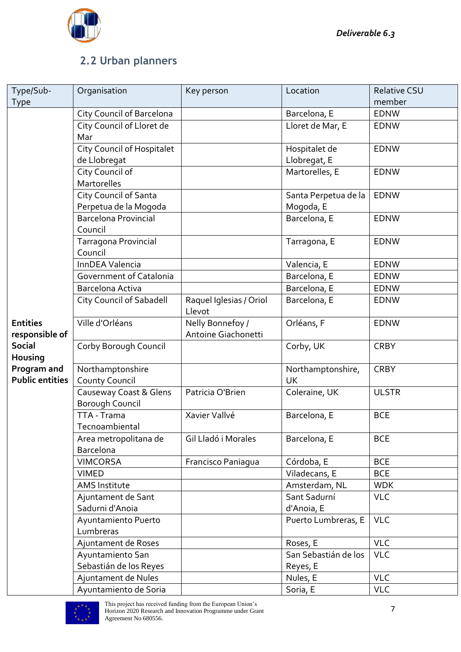

### <span id="page-8-0"></span>**2.2 Urban planners**

| Type/Sub-              | Organisation                     | Key person              | Location             | <b>Relative CSU</b> |
|------------------------|----------------------------------|-------------------------|----------------------|---------------------|
| Type                   |                                  |                         |                      | member              |
|                        | <b>City Council of Barcelona</b> |                         | Barcelona, E         | <b>EDNW</b>         |
|                        | City Council of Lloret de        |                         | Lloret de Mar, E     | <b>EDNW</b>         |
|                        | Mar                              |                         |                      |                     |
|                        | City Council of Hospitalet       |                         | Hospitalet de        | <b>EDNW</b>         |
|                        | de Llobregat                     |                         | Llobregat, E         |                     |
|                        | City Council of                  |                         | Martorelles, E       | <b>EDNW</b>         |
|                        | Martorelles                      |                         |                      |                     |
|                        | City Council of Santa            |                         | Santa Perpetua de la | <b>EDNW</b>         |
|                        | Perpetua de la Mogoda            |                         | Mogoda, E            |                     |
|                        | <b>Barcelona Provincial</b>      |                         | Barcelona, E         | <b>EDNW</b>         |
|                        | Council                          |                         |                      |                     |
|                        | Tarragona Provincial             |                         | Tarragona, E         | <b>EDNW</b>         |
|                        | Council                          |                         |                      |                     |
|                        | InnDEA Valencia                  |                         | Valencia, E          | <b>EDNW</b>         |
|                        | Government of Catalonia          |                         | Barcelona, E         | <b>EDNW</b>         |
|                        | Barcelona Activa                 |                         | Barcelona, E         | <b>EDNW</b>         |
|                        | <b>City Council of Sabadell</b>  | Raquel Iglesias / Oriol | Barcelona, E         | <b>EDNW</b>         |
|                        |                                  | Llevot                  |                      |                     |
| <b>Entities</b>        | Ville d'Orléans                  | Nelly Bonnefoy /        | Orléans, F           | <b>EDNW</b>         |
| responsible of         |                                  | Antoine Giachonetti     |                      |                     |
| <b>Social</b>          | Corby Borough Council            |                         | Corby, UK            | <b>CRBY</b>         |
| Housing                |                                  |                         |                      |                     |
| Program and            | Northamptonshire                 |                         | Northamptonshire,    | <b>CRBY</b>         |
| <b>Public entities</b> | <b>County Council</b>            |                         | <b>UK</b>            |                     |
|                        | Causeway Coast & Glens           | Patricia O'Brien        | Coleraine, UK        | <b>ULSTR</b>        |
|                        | <b>Borough Council</b>           |                         |                      |                     |
|                        | TTA - Trama                      | Xavier Vallvé           | Barcelona, E         | <b>BCE</b>          |
|                        | Tecnoambiental                   |                         |                      |                     |
|                        | Area metropolitana de            | Gil Lladó i Morales     | Barcelona, E         | <b>BCE</b>          |
|                        | Barcelona                        |                         |                      |                     |
|                        | <b>VIMCORSA</b>                  | Francisco Paniagua      | Córdoba, E           | <b>BCE</b>          |
|                        | <b>VIMED</b>                     |                         | Viladecans, E        | <b>BCE</b>          |
|                        | AMS Institute                    |                         | Amsterdam, NL        | <b>WDK</b>          |
|                        | Ajuntament de Sant               |                         | Sant Sadurní         | <b>VLC</b>          |
|                        | Sadurni d'Anoia                  |                         | d'Anoia, E           |                     |
|                        | Ayuntamiento Puerto              |                         | Puerto Lumbreras, E  | <b>VLC</b>          |
|                        | Lumbreras                        |                         |                      |                     |
|                        | Ajuntament de Roses              |                         | Roses, E             | <b>VLC</b>          |
|                        | Ayuntamiento San                 |                         | San Sebastián de los | <b>VLC</b>          |
|                        | Sebastián de los Reyes           |                         | Reyes, E             |                     |
|                        | Ajuntament de Nules              |                         | Nules, E             | <b>VLC</b>          |
|                        | Ayuntamiento de Soria            |                         | Soria, E             | <b>VLC</b>          |

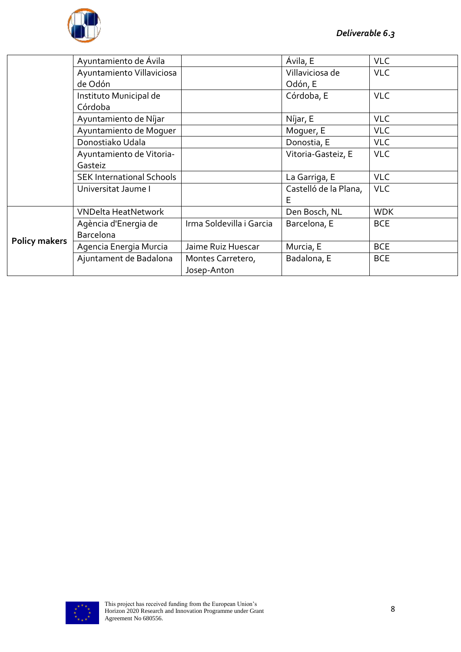

|                      | Ayuntamiento de Ávila            |                          | Ávila, E              | <b>VLC</b> |
|----------------------|----------------------------------|--------------------------|-----------------------|------------|
|                      | Ayuntamiento Villaviciosa        |                          | Villaviciosa de       | <b>VLC</b> |
|                      | de Odón                          |                          | Odón, E               |            |
|                      | Instituto Municipal de           |                          | Córdoba, E            | <b>VLC</b> |
|                      | Córdoba                          |                          |                       |            |
|                      | Ayuntamiento de Níjar            |                          | Níjar, E              | <b>VLC</b> |
|                      | Ayuntamiento de Moquer           |                          | Moguer, E             | <b>VLC</b> |
|                      | Donostiako Udala                 |                          | Donostia, E           | <b>VLC</b> |
|                      | Ayuntamiento de Vitoria-         |                          | Vitoria-Gasteiz, E    | <b>VLC</b> |
|                      | Gasteiz                          |                          |                       |            |
|                      | <b>SEK International Schools</b> |                          | La Garriga, E         | <b>VLC</b> |
|                      | Universitat Jaume I              |                          | Castelló de la Plana, | <b>VLC</b> |
|                      |                                  |                          | Е                     |            |
|                      | <b>VNDelta HeatNetwork</b>       |                          | Den Bosch, NL         | <b>WDK</b> |
| <b>Policy makers</b> | Agència d'Energia de             | Irma Soldevilla i Garcia | Barcelona, E          | <b>BCE</b> |
|                      | <b>Barcelona</b>                 |                          |                       |            |
|                      | Agencia Energia Murcia           | Jaime Ruiz Huescar       | Murcia, E             | <b>BCE</b> |
|                      | Ajuntament de Badalona           | Montes Carretero,        | Badalona, E           | <b>BCE</b> |
|                      |                                  | Josep-Anton              |                       |            |

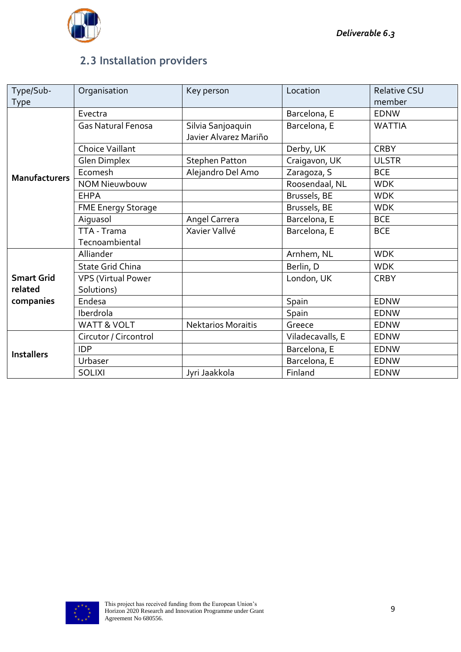

### <span id="page-10-0"></span>**2.3 Installation providers**

| Type/Sub-            | Organisation              | Key person                | Location         | <b>Relative CSU</b> |
|----------------------|---------------------------|---------------------------|------------------|---------------------|
| Type                 |                           |                           |                  | member              |
|                      | Evectra                   |                           | Barcelona, E     | <b>EDNW</b>         |
|                      | <b>Gas Natural Fenosa</b> | Silvia Sanjoaquin         | Barcelona, E     | <b>WATTIA</b>       |
|                      |                           | Javier Alvarez Mariño     |                  |                     |
|                      | <b>Choice Vaillant</b>    |                           | Derby, UK        | <b>CRBY</b>         |
|                      | <b>Glen Dimplex</b>       | <b>Stephen Patton</b>     | Craigavon, UK    | <b>ULSTR</b>        |
| <b>Manufacturers</b> | Ecomesh                   | Alejandro Del Amo         | Zaragoza, S      | <b>BCE</b>          |
|                      | <b>NOM Nieuwbouw</b>      |                           | Roosendaal, NL   | <b>WDK</b>          |
|                      | <b>EHPA</b>               |                           | Brussels, BE     | <b>WDK</b>          |
|                      | <b>FME Energy Storage</b> |                           | Brussels, BE     | <b>WDK</b>          |
|                      | Aiguasol                  | Angel Carrera             | Barcelona, E     | <b>BCE</b>          |
|                      | TTA - Trama               | Xavier Vallvé             | Barcelona, E     | <b>BCE</b>          |
|                      | Tecnoambiental            |                           |                  |                     |
|                      | Alliander                 |                           | Arnhem, NL       | <b>WDK</b>          |
|                      | <b>State Grid China</b>   |                           | Berlin, D        | <b>WDK</b>          |
| <b>Smart Grid</b>    | <b>VPS (Virtual Power</b> |                           | London, UK       | <b>CRBY</b>         |
| related              | Solutions)                |                           |                  |                     |
| companies            | Endesa                    |                           | Spain            | <b>EDNW</b>         |
|                      | Iberdrola                 |                           | Spain            | EDNW                |
|                      | WATT & VOLT               | <b>Nektarios Moraitis</b> | Greece           | <b>EDNW</b>         |
|                      | Circutor / Circontrol     |                           | Viladecavalls, E | <b>EDNW</b>         |
| <b>Installers</b>    | <b>IDP</b>                |                           | Barcelona, E     | <b>EDNW</b>         |
|                      | Urbaser                   |                           | Barcelona, E     | <b>EDNW</b>         |
|                      | <b>SOLIXI</b>             | Jyri Jaakkola             | Finland          | <b>EDNW</b>         |

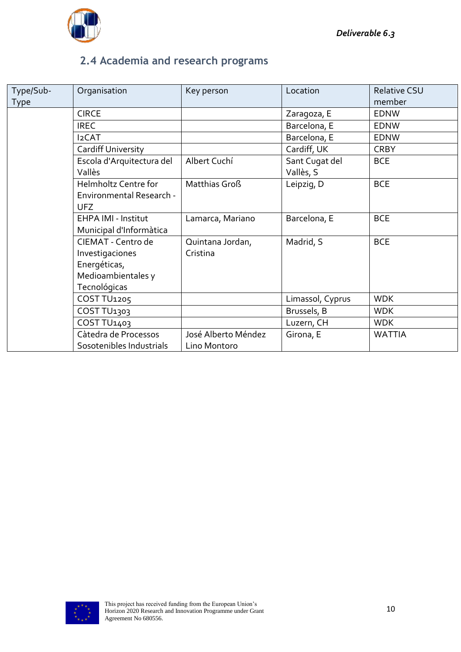

### <span id="page-11-0"></span>**2.4 Academia and research programs**

| Type/Sub- | Organisation                                                                                | Key person                          | Location                    | <b>Relative CSU</b> |
|-----------|---------------------------------------------------------------------------------------------|-------------------------------------|-----------------------------|---------------------|
| Type      |                                                                                             |                                     |                             | member              |
|           | <b>CIRCE</b>                                                                                |                                     | Zaragoza, E                 | <b>EDNW</b>         |
|           | <b>IREC</b>                                                                                 |                                     | Barcelona, E                | <b>EDNW</b>         |
|           | <b>I2CAT</b>                                                                                |                                     | Barcelona, E                | <b>EDNW</b>         |
|           | Cardiff University                                                                          |                                     | Cardiff, UK                 | <b>CRBY</b>         |
|           | Escola d'Arquitectura del<br>Vallès                                                         | Albert Cuchí                        | Sant Cugat del<br>Vallès, S | <b>BCE</b>          |
|           | Helmholtz Centre for<br><b>Environmental Research -</b><br>UFZ                              | Matthias Groß                       | Leipzig, D                  | <b>BCE</b>          |
|           | EHPA IMI - Institut<br>Municipal d'Informàtica                                              | Lamarca, Mariano                    | Barcelona, E                | <b>BCE</b>          |
|           | CIEMAT - Centro de<br>Investigaciones<br>Energéticas,<br>Medioambientales y<br>Tecnológicas | Quintana Jordan,<br>Cristina        | Madrid, S                   | <b>BCE</b>          |
|           | COST TU1205                                                                                 |                                     | Limassol, Cyprus            | <b>WDK</b>          |
|           | COST TU <sub>1303</sub>                                                                     |                                     | Brussels, B                 | <b>WDK</b>          |
|           | COST TU <sub>1403</sub>                                                                     |                                     | Luzern, CH                  | <b>WDK</b>          |
|           | Càtedra de Processos<br>Sosotenibles Industrials                                            | José Alberto Méndez<br>Lino Montoro | Girona, E                   | <b>WATTIA</b>       |

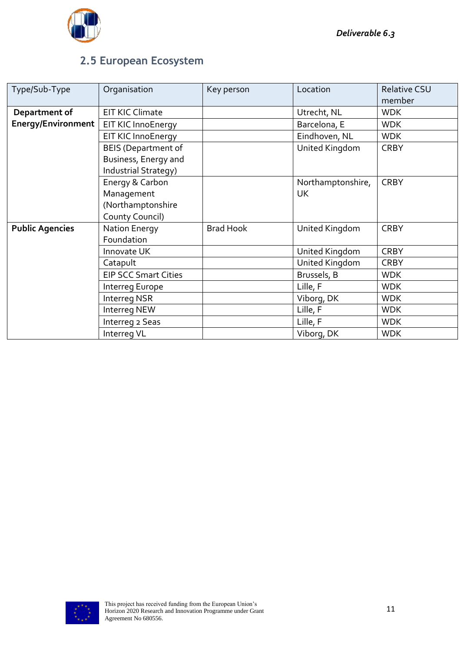### <span id="page-12-0"></span>**2.5 European Ecosystem**

| Type/Sub-Type             | Organisation                | Key person       | Location          | <b>Relative CSU</b> |
|---------------------------|-----------------------------|------------------|-------------------|---------------------|
|                           |                             |                  |                   | member              |
| Department of             | <b>EIT KIC Climate</b>      |                  | Utrecht, NL       | <b>WDK</b>          |
| <b>Energy/Environment</b> | EIT KIC InnoEnergy          |                  | Barcelona, E      | <b>WDK</b>          |
|                           | EIT KIC InnoEnergy          |                  | Eindhoven, NL     | <b>WDK</b>          |
|                           | <b>BEIS (Department of</b>  |                  | United Kingdom    | <b>CRBY</b>         |
|                           | Business, Energy and        |                  |                   |                     |
|                           | Industrial Strategy)        |                  |                   |                     |
|                           | Energy & Carbon             |                  | Northamptonshire, | <b>CRBY</b>         |
|                           | Management                  |                  | UK                |                     |
|                           | (Northamptonshire           |                  |                   |                     |
|                           | County Council)             |                  |                   |                     |
| <b>Public Agencies</b>    | <b>Nation Energy</b>        | <b>Brad Hook</b> | United Kingdom    | <b>CRBY</b>         |
|                           | Foundation                  |                  |                   |                     |
|                           | Innovate UK                 |                  | United Kingdom    | <b>CRBY</b>         |
|                           | Catapult                    |                  | United Kingdom    | <b>CRBY</b>         |
|                           | <b>EIP SCC Smart Cities</b> |                  | Brussels, B       | <b>WDK</b>          |
|                           | Interreg Europe             |                  | Lille, F          | <b>WDK</b>          |
|                           | Interreg NSR                |                  | Viborg, DK        | <b>WDK</b>          |
|                           | Interreg NEW                |                  | Lille, F          | <b>WDK</b>          |
|                           | Interreg 2 Seas             |                  | Lille, F          | <b>WDK</b>          |
|                           | Interreg VL                 |                  | Viborg, DK        | <b>WDK</b>          |

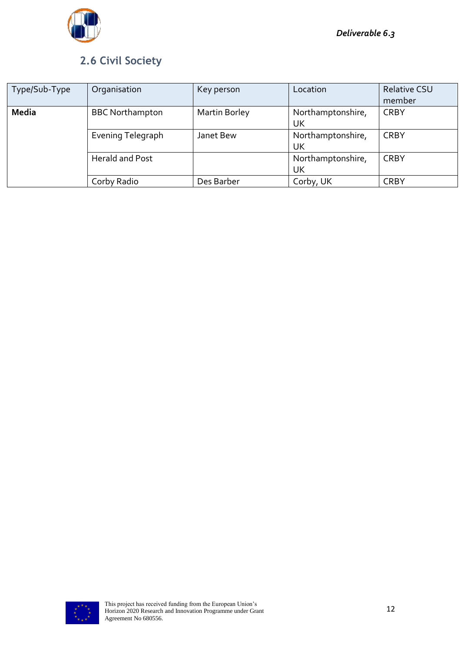

### <span id="page-13-0"></span>**2.6 Civil Society**

| Type/Sub-Type | Organisation           | Key person           | Location                | <b>Relative CSU</b><br>member |
|---------------|------------------------|----------------------|-------------------------|-------------------------------|
| <b>Media</b>  | <b>BBC Northampton</b> | <b>Martin Borley</b> | Northamptonshire,<br>UK | <b>CRBY</b>                   |
|               | Evening Telegraph      | Janet Bew            | Northamptonshire,<br>UK | <b>CRBY</b>                   |
|               | <b>Herald and Post</b> |                      | Northamptonshire,<br>UK | <b>CRBY</b>                   |
|               | Corby Radio            | Des Barber           | Corby, UK               | <b>CRBY</b>                   |

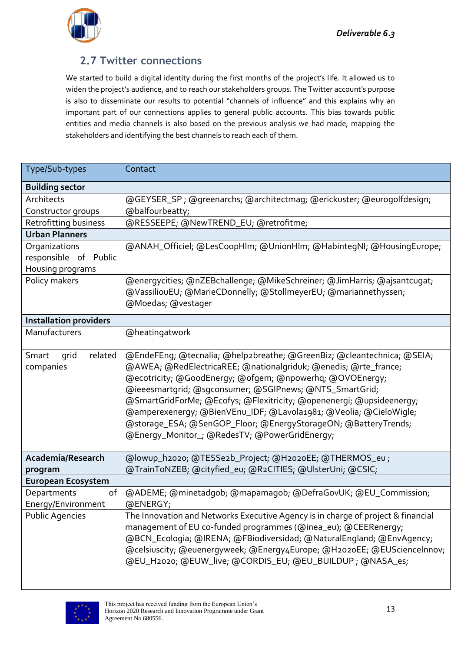

#### <span id="page-14-0"></span>**2.7 Twitter connections**

We started to build a digital identity during the first months of the project's life. It allowed us to widen the project's audience, and to reach our stakeholders groups. The Twitter account's purpose is also to disseminate our results to potential "channels of influence" and this explains why an important part of our connections applies to general public accounts. This bias towards public entities and media channels is also based on the previous analysis we had made, mapping the stakeholders and identifying the best channels to reach each of them.

| Type/Sub-types                | Contact                                                                          |
|-------------------------------|----------------------------------------------------------------------------------|
| <b>Building sector</b>        |                                                                                  |
| Architects                    | @GEYSER_SP; @greenarchs; @architectmag; @erickuster; @eurogolfdesign;            |
| Constructor groups            | @balfourbeatty;                                                                  |
| Retrofitting business         | @RESSEEPE; @NewTREND_EU; @retrofitme;                                            |
| <b>Urban Planners</b>         |                                                                                  |
| Organizations                 | @ANAH_Officiel; @LesCoopHlm; @UnionHlm; @HabintegNI; @HousingEurope;             |
| responsible of Public         |                                                                                  |
| Housing programs              |                                                                                  |
| Policy makers                 | @energycities; @nZEBchallenge; @MikeSchreiner; @JimHarris; @ajsantcugat;         |
|                               | @VassiliouEU; @MarieCDonnelly; @StollmeyerEU; @mariannethyssen;                  |
|                               | @Moedas; @vestager                                                               |
| <b>Installation providers</b> |                                                                                  |
| Manufacturers                 | @heatingatwork                                                                   |
|                               |                                                                                  |
| Smart<br>related<br>grid      | @EndeFEng; @tecnalia; @help2breathe; @GreenBiz; @cleantechnica; @SEIA;           |
| companies                     | @AWEA; @RedElectricaREE; @nationalgriduk; @enedis; @rte_france;                  |
|                               | @ecotricity; @GoodEnergy; @ofgem; @npowerhq; @OVOEnergy;                         |
|                               | @ieeesmartgrid; @sgconsumer; @SGIPnews; @NTS_SmartGrid;                          |
|                               | @SmartGridForMe; @Ecofys; @Flexitricity; @openenergi; @upsideenergy;             |
|                               | @amperexenergy; @BienVEnu_IDF; @Lavola1981; @Veolia; @CieloWigle;                |
|                               | @storage_ESA; @SenGOP_Floor; @EnergyStorageON; @BatteryTrends;                   |
|                               | @Energy_Monitor_; @RedesTV; @PowerGridEnergy;                                    |
|                               |                                                                                  |
| Academia/Research             | @lowup_h2020; @TESSe2b_Project; @H2020EE; @THERMOS_eu;                           |
| program                       | @TrainToNZEB; @cityfied_eu; @R2CITIES; @UlsterUni; @CSIC;                        |
| <b>European Ecosystem</b>     |                                                                                  |
| of<br>Departments             | @ADEME; @minetadgob; @mapamagob; @DefraGovUK; @EU_Commission;                    |
| Energy/Environment            | @ENERGY;                                                                         |
| <b>Public Agencies</b>        | The Innovation and Networks Executive Agency is in charge of project & financial |
|                               | management of EU co-funded programmes (@inea_eu); @CEERenergy;                   |
|                               | @BCN_Ecologia; @IRENA; @FBiodiversidad; @NaturalEngland; @EnvAgency;             |
|                               | @celsiuscity; @euenergyweek; @Energy4Europe; @H2o2oEE; @EUScienceInnov;          |
|                               | @EU_H2020; @EUW_live; @CORDIS_EU; @EU_BUILDUP ; @NASA_es;                        |
|                               |                                                                                  |